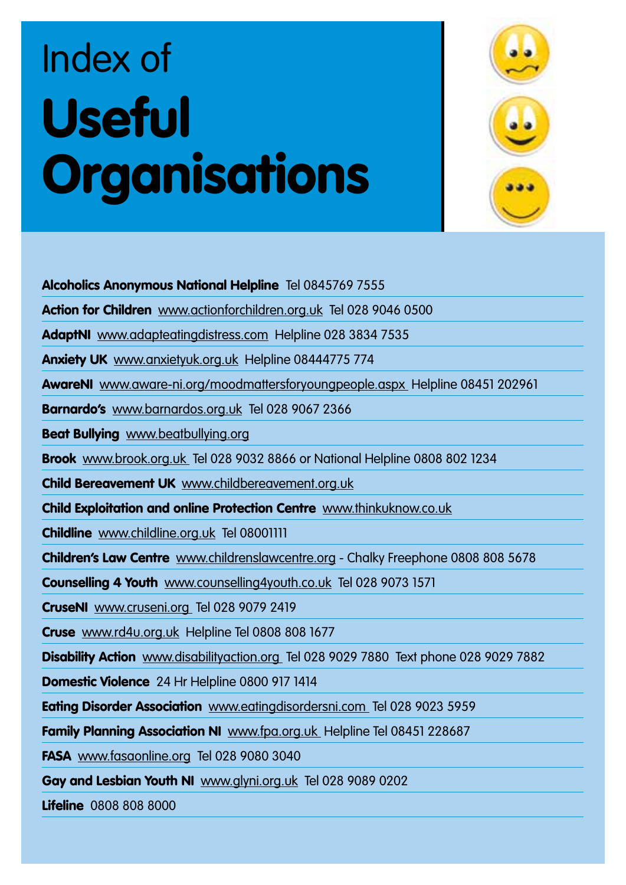## Index of Useful **Organisations**



Alcoholics Anonymous National Helpline Tel 0845769 7555

Action for Children www.actionforchildren.org.uk Tel 028 9046 0500

AdaptNI www.adapteatingdistress.com Helpline 028 3834 7535

Anxiety UK www.anxietyuk.org.uk Helpline 08444775 774

AwareNI www.aware-ni.org/moodmattersforyoungpeople.aspx Helpline 08451 202961

Barnardo's www.barnardos.org.uk Tel 028 9067 2366

Beat Bullying www.beatbullying.org

Brook www.brook.org.uk Tel 028 9032 8866 or National Helpline 0808 802 1234

Child Bereavement UK www.childbereavement.org.uk

Child Exploitation and online Protection Centre www.thinkuknow.co.uk

Childline www.childline.org.uk Tel 08001111

Children's Law Centre www.childrenslawcentre.org - Chalky Freephone 0808 808 5678

Counselling 4 Youth www.counselling4youth.co.uk Tel 028 9073 1571

CruseNI www.cruseni.org Tel 028 9079 2419

Cruse www.rd4u.org.uk Helpline Tel 0808 808 1677

Disability Action www.disabilityaction.org Tel 028 9029 7880 Text phone 028 9029 7882

Domestic Violence 24 Hr Helpline 0800 917 1414

Eating Disorder Association www.eatingdisordersni.com Tel 028 9023 5959

**Family Planning Association NI** www.fpa.org.uk Helpline Tel 08451 228687

FASA www.fasaonline.org Tel 028 9080 3040

Gay and Lesbian Youth NI www.glyni.org.uk Tel 028 9089 0202

**Lifeline** 0808 808 8000